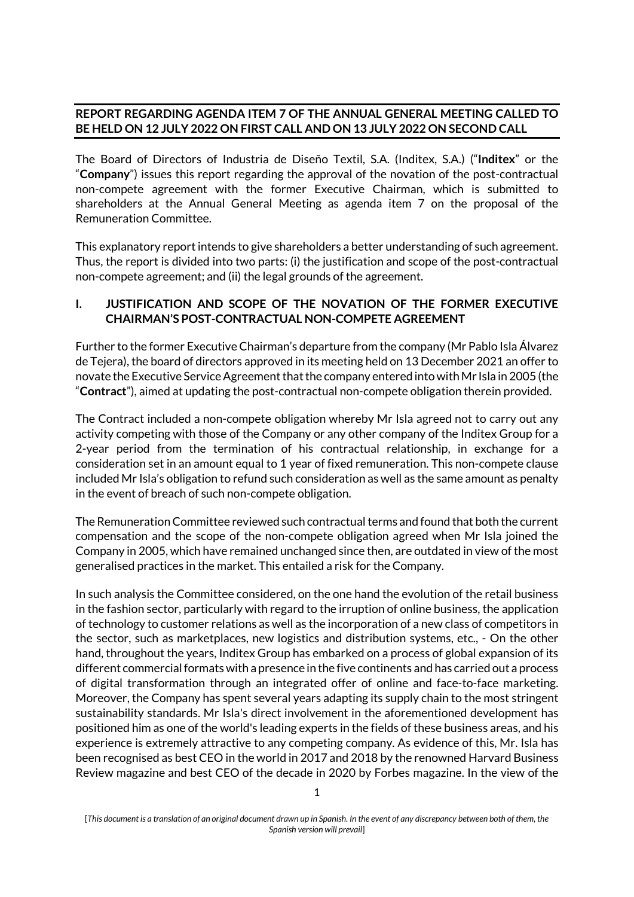## **REPORT REGARDING AGENDA ITEM 7 OF THE ANNUAL GENERAL MEETING CALLED TO BE HELD ON 12 JULY 2022 ON FIRST CALL AND ON 13 JULY 2022 ON SECOND CALL**

The Board of Directors of Industria de Diseño Textil, S.A. (Inditex, S.A.) ("**Inditex**" or the "**Company**") issues this report regarding the approval of the novation of the post-contractual non-compete agreement with the former Executive Chairman, which is submitted to shareholders at the Annual General Meeting as agenda item 7 on the proposal of the Remuneration Committee.

This explanatory report intends to give shareholders a better understanding of such agreement. Thus, the report is divided into two parts: (i) the justification and scope of the post-contractual non-compete agreement; and (ii) the legal grounds of the agreement.

## **I. JUSTIFICATION AND SCOPE OF THE NOVATION OF THE FORMER EXECUTIVE CHAIRMAN'S POST-CONTRACTUAL NON-COMPETE AGREEMENT**

Further to the former Executive Chairman's departure from the company (Mr Pablo Isla Álvarez de Tejera), the board of directors approved in its meeting held on 13 December 2021 an offer to novate the Executive Service Agreement that the company entered into withMr Isla in 2005 (the "**Contract**"), aimed at updating the post-contractual non-compete obligation therein provided.

The Contract included a non-compete obligation whereby Mr Isla agreed not to carry out any activity competing with those of the Company or any other company of the Inditex Group for a 2-year period from the termination of his contractual relationship, in exchange for a consideration set in an amount equal to 1 year of fixed remuneration. This non-compete clause included Mr Isla's obligation to refund such consideration as well as the same amount as penalty in the event of breach of such non-compete obligation.

The Remuneration Committee reviewed such contractual terms and found that both the current compensation and the scope of the non-compete obligation agreed when Mr Isla joined the Company in 2005, which have remained unchanged since then, are outdated in view of the most generalised practices in the market. This entailed a risk for the Company.

In such analysis the Committee considered, on the one hand the evolution of the retail business in the fashion sector, particularly with regard to the irruption of online business, the application of technology to customer relations as well as the incorporation of a new class of competitors in the sector, such as marketplaces, new logistics and distribution systems, etc., - On the other hand, throughout the years, Inditex Group has embarked on a process of global expansion of its different commercial formats with a presence in the five continents and has carried out a process of digital transformation through an integrated offer of online and face-to-face marketing. Moreover, the Company has spent several years adapting its supply chain to the most stringent sustainability standards. Mr Isla's direct involvement in the aforementioned development has positioned him as one of the world's leading experts in the fields of these business areas, and his experience is extremely attractive to any competing company. As evidence of this, Mr. Isla has been recognised as best CEO in the world in 2017 and 2018 by the renowned Harvard Business Review magazine and best CEO of the decade in 2020 by Forbes magazine. In the view of the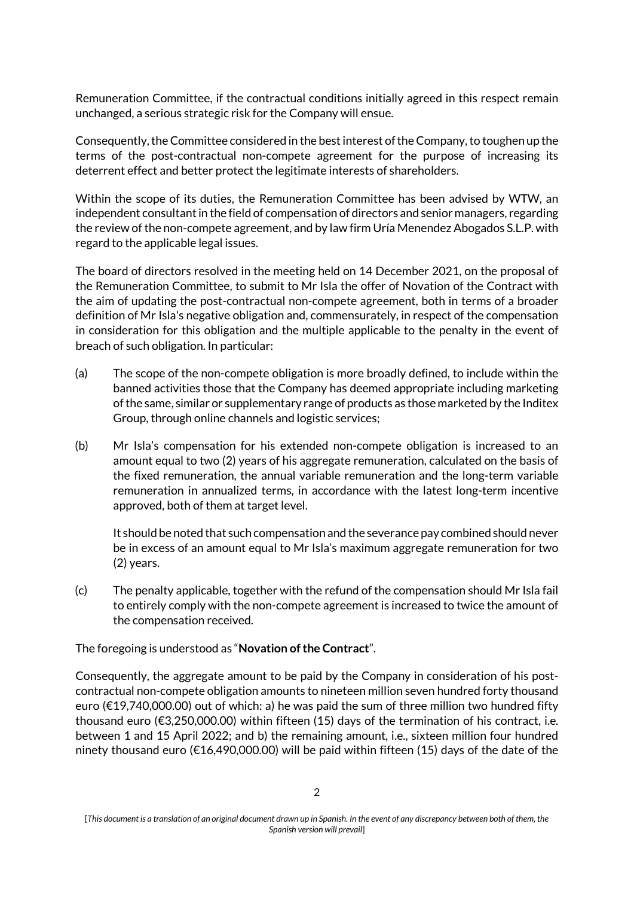Remuneration Committee, if the contractual conditions initially agreed in this respect remain unchanged, a serious strategic risk for the Company will ensue.

Consequently, the Committee considered in the best interest of the Company, to toughen up the terms of the post-contractual non-compete agreement for the purpose of increasing its deterrent effect and better protect the legitimate interests of shareholders.

Within the scope of its duties, the Remuneration Committee has been advised by WTW, an independent consultant in the field of compensation of directors and senior managers, regarding the review of the non-compete agreement, and by law firm Uría Menendez Abogados S.L.P. with regard to the applicable legal issues.

The board of directors resolved in the meeting held on 14 December 2021, on the proposal of the Remuneration Committee, to submit to Mr Isla the offer of Novation of the Contract with the aim of updating the post-contractual non-compete agreement, both in terms of a broader definition of Mr Isla's negative obligation and, commensurately, in respect of the compensation in consideration for this obligation and the multiple applicable to the penalty in the event of breach of such obligation. In particular:

- (a) The scope of the non-compete obligation is more broadly defined, to include within the banned activities those that the Company has deemed appropriate including marketing of the same, similar or supplementary range of products as those marketed by the Inditex Group, through online channels and logistic services;
- (b) Mr Isla's compensation for his extended non-compete obligation is increased to an amount equal to two (2) years of his aggregate remuneration, calculated on the basis of the fixed remuneration, the annual variable remuneration and the long-term variable remuneration in annualized terms, in accordance with the latest long-term incentive approved, both of them at target level.

It should be noted that such compensation and the severance pay combined should never be in excess of an amount equal to Mr Isla's maximum aggregate remuneration for two (2) years.

(c) The penalty applicable, together with the refund of the compensation should Mr Isla fail to entirely comply with the non-compete agreement is increased to twice the amount of the compensation received.

The foregoing is understood as "**Novation of the Contract**".

Consequently, the aggregate amount to be paid by the Company in consideration of his postcontractual non-compete obligation amounts to nineteen million seven hundred forty thousand euro (€19,740,000.00) out of which: a) he was paid the sum of three million two hundred fifty thousand euro (€3,250,000.00) within fifteen (15) days of the termination of his contract, i.e. between 1 and 15 April 2022; and b) the remaining amount, i.e., sixteen million four hundred ninety thousand euro (€16,490,000.00) will be paid within fifteen (15) days of the date of the

<sup>[</sup>*This document is a translation of an original document drawn up in Spanish. In the event of any discrepancy between both of them, the Spanish version will prevail*]